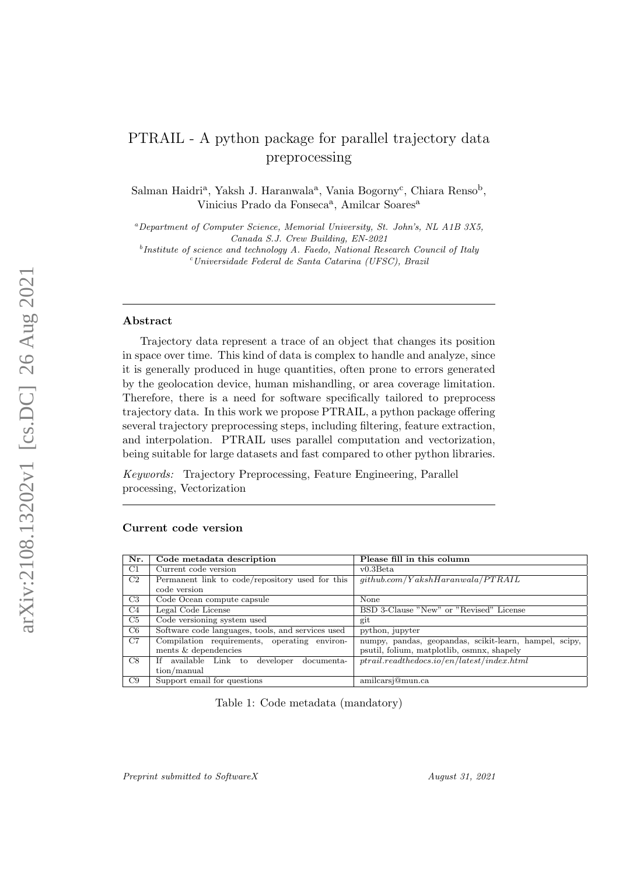# PTRAIL - A python package for parallel trajectory data preprocessing

Salman Haidri<sup>a</sup>, Yaksh J. Haranwala<sup>a</sup>, Vania Bogorny<sup>c</sup>, Chiara Renso<sup>b</sup>, Vinicius Prado da Fonseca<sup>a</sup>, Amilcar Soares<sup>a</sup>

 $a<sup>a</sup> Department of Computer Science, Memorial University, St. John's, NL A1B 3X5,$ Canada S.J. Crew Building, EN-2021

<sup>b</sup>Institute of science and technology A. Faedo, National Research Council of Italy <sup>c</sup>Universidade Federal de Santa Catarina (UFSC), Brazil

#### Abstract

Trajectory data represent a trace of an object that changes its position in space over time. This kind of data is complex to handle and analyze, since it is generally produced in huge quantities, often prone to errors generated by the geolocation device, human mishandling, or area coverage limitation. Therefore, there is a need for software specifically tailored to preprocess trajectory data. In this work we propose PTRAIL, a python package offering several trajectory preprocessing steps, including filtering, feature extraction, and interpolation. PTRAIL uses parallel computation and vectorization, being suitable for large datasets and fast compared to other python libraries.

Keywords: Trajectory Preprocessing, Feature Engineering, Parallel processing, Vectorization

# Current code version

| Nr. | Code metadata description                         | Please fill in this column                             |
|-----|---------------------------------------------------|--------------------------------------------------------|
| C1  | Current code version                              | $v0.3$ Beta                                            |
| C2  | Permanent link to code/repository used for this   | qithub.com/YakshHaran wala/PTRAIL                      |
|     | code version                                      |                                                        |
| C3  | Code Ocean compute capsule                        | None                                                   |
| C4  | Legal Code License                                | BSD 3-Clause "New" or "Revised" License                |
| C5  | Code versioning system used                       | git                                                    |
| C6  | Software code languages, tools, and services used | python, jupyter                                        |
| C7  | Compilation requirements, operating environ-      | numpy, pandas, geopandas, scikit-learn, hampel, scipy, |
|     | ments & dependencies                              | psutil, folium, matplotlib, osmnx, shapely             |
| C8  | available Link to developer<br>Ιf<br>documenta-   | $ptrail.read: the docs.io/en/latest/index.html$        |
|     | tion/manual                                       |                                                        |
| C9  | Support email for questions                       | amilcarsi@mun.ca                                       |

Table 1: Code metadata (mandatory)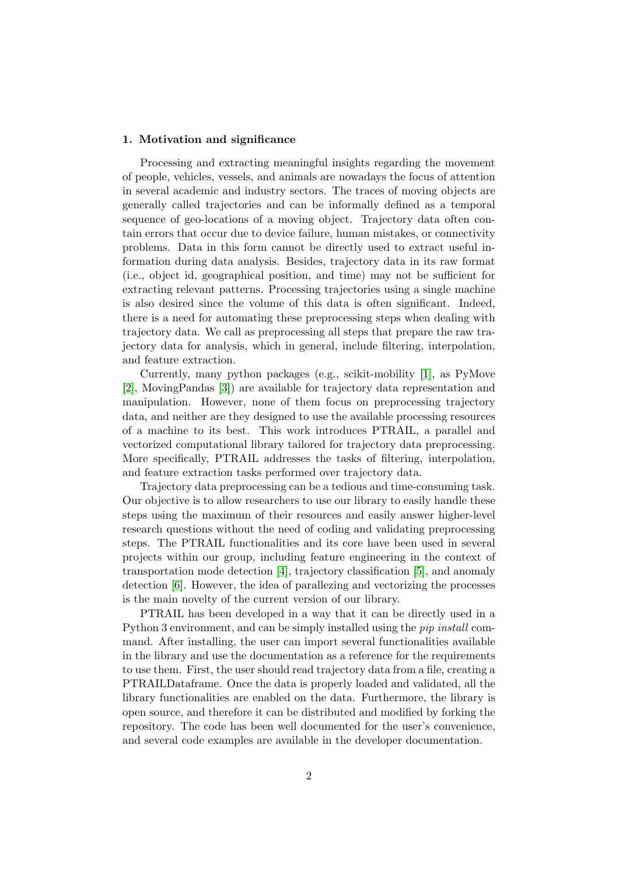#### 1. Motivation and significance

Processing and extracting meaningful insights regarding the movement of people, vehicles, vessels, and animals are nowadays the focus of attention in several academic and industry sectors. The traces of moving objects are generally called trajectories and can be informally defined as a temporal sequence of geo-locations of a moving object. Trajectory data often contain errors that occur due to device failure, human mistakes, or connectivity problems. Data in this form cannot be directly used to extract useful information during data analysis. Besides, trajectory data in its raw format (i.e., object id, geographical position, and time) may not be sufficient for extracting relevant patterns. Processing trajectories using a single machine is also desired since the volume of this data is often significant. Indeed, there is a need for automating these preprocessing steps when dealing with trajectory data. We call as preprocessing all steps that prepare the raw trajectory data for analysis, which in general, include filtering, interpolation, and feature extraction.

Currently, many python packages (e.g., scikit-mobility [\[1\]](#page-7-0), as PyMove [\[2\]](#page-7-1), MovingPandas [\[3\]](#page-7-2)) are available for trajectory data representation and manipulation. However, none of them focus on preprocessing trajectory data, and neither are they designed to use the available processing resources of a machine to its best. This work introduces PTRAIL, a parallel and vectorized computational library tailored for trajectory data preprocessing. More specifically, PTRAIL addresses the tasks of filtering, interpolation, and feature extraction tasks performed over trajectory data.

Trajectory data preprocessing can be a tedious and time-consuming task. Our objective is to allow researchers to use our library to easily handle these steps using the maximum of their resources and easily answer higher-level research questions without the need of coding and validating preprocessing steps. The PTRAIL functionalities and its core have been used in several projects within our group, including feature engineering in the context of transportation mode detection [\[4\]](#page-7-3), trajectory classification [\[5\]](#page-7-4), and anomaly detection [\[6\]](#page-7-5). However, the idea of parallezing and vectorizing the processes is the main novelty of the current version of our library.

PTRAIL has been developed in a way that it can be directly used in a Python 3 environment, and can be simply installed using the pip install command. After installing, the user can import several functionalities available in the library and use the documentation as a reference for the requirements to use them. First, the user should read trajectory data from a file, creating a PTRAILDataframe. Once the data is properly loaded and validated, all the library functionalities are enabled on the data. Furthermore, the library is open source, and therefore it can be distributed and modified by forking the repository. The code has been well documented for the user's convenience, and several code examples are available in the developer documentation.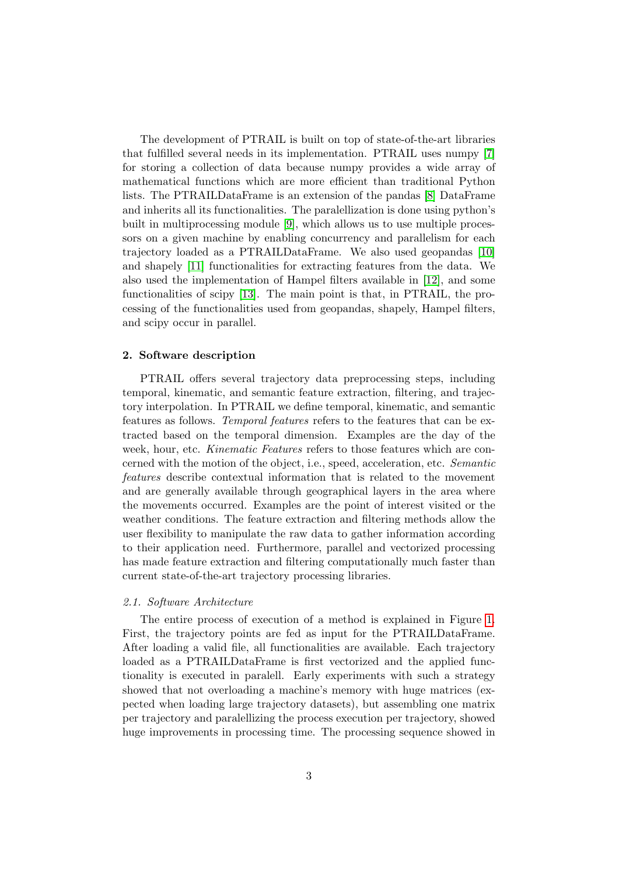The development of PTRAIL is built on top of state-of-the-art libraries that fulfilled several needs in its implementation. PTRAIL uses numpy [\[7\]](#page-7-6) for storing a collection of data because numpy provides a wide array of mathematical functions which are more efficient than traditional Python lists. The PTRAILDataFrame is an extension of the pandas [\[8\]](#page-8-0) DataFrame and inherits all its functionalities. The paralellization is done using python's built in multiprocessing module [\[9\]](#page-8-1), which allows us to use multiple processors on a given machine by enabling concurrency and parallelism for each trajectory loaded as a PTRAILDataFrame. We also used geopandas [\[10\]](#page-8-2) and shapely [\[11\]](#page-8-3) functionalities for extracting features from the data. We also used the implementation of Hampel filters available in [\[12\]](#page-8-4), and some functionalities of scipy [\[13\]](#page-8-5). The main point is that, in PTRAIL, the processing of the functionalities used from geopandas, shapely, Hampel filters, and scipy occur in parallel.

#### 2. Software description

PTRAIL offers several trajectory data preprocessing steps, including temporal, kinematic, and semantic feature extraction, filtering, and trajectory interpolation. In PTRAIL we define temporal, kinematic, and semantic features as follows. Temporal features refers to the features that can be extracted based on the temporal dimension. Examples are the day of the week, hour, etc. Kinematic Features refers to those features which are concerned with the motion of the object, i.e., speed, acceleration, etc. Semantic features describe contextual information that is related to the movement and are generally available through geographical layers in the area where the movements occurred. Examples are the point of interest visited or the weather conditions. The feature extraction and filtering methods allow the user flexibility to manipulate the raw data to gather information according to their application need. Furthermore, parallel and vectorized processing has made feature extraction and filtering computationally much faster than current state-of-the-art trajectory processing libraries.

### 2.1. Software Architecture

The entire process of execution of a method is explained in Figure [1.](#page-3-0) First, the trajectory points are fed as input for the PTRAILDataFrame. After loading a valid file, all functionalities are available. Each trajectory loaded as a PTRAILDataFrame is first vectorized and the applied functionality is executed in paralell. Early experiments with such a strategy showed that not overloading a machine's memory with huge matrices (expected when loading large trajectory datasets), but assembling one matrix per trajectory and paralellizing the process execution per trajectory, showed huge improvements in processing time. The processing sequence showed in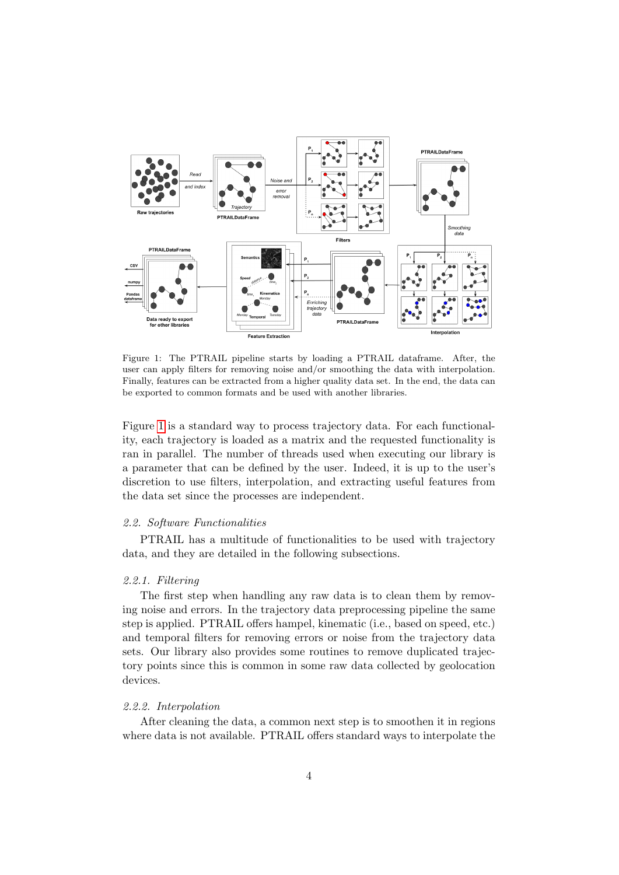

<span id="page-3-0"></span>Figure 1: The PTRAIL pipeline starts by loading a PTRAIL dataframe. After, the user can apply filters for removing noise and/or smoothing the data with interpolation. Finally, features can be extracted from a higher quality data set. In the end, the data can be exported to common formats and be used with another libraries.

Figure [1](#page-3-0) is a standard way to process trajectory data. For each functionality, each trajectory is loaded as a matrix and the requested functionality is ran in parallel. The number of threads used when executing our library is a parameter that can be defined by the user. Indeed, it is up to the user's discretion to use filters, interpolation, and extracting useful features from the data set since the processes are independent.

## 2.2. Software Functionalities

PTRAIL has a multitude of functionalities to be used with trajectory data, and they are detailed in the following subsections.

#### 2.2.1. Filtering

The first step when handling any raw data is to clean them by removing noise and errors. In the trajectory data preprocessing pipeline the same step is applied. PTRAIL offers hampel, kinematic (i.e., based on speed, etc.) and temporal filters for removing errors or noise from the trajectory data sets. Our library also provides some routines to remove duplicated trajectory points since this is common in some raw data collected by geolocation devices.

### 2.2.2. Interpolation

After cleaning the data, a common next step is to smoothen it in regions where data is not available. PTRAIL offers standard ways to interpolate the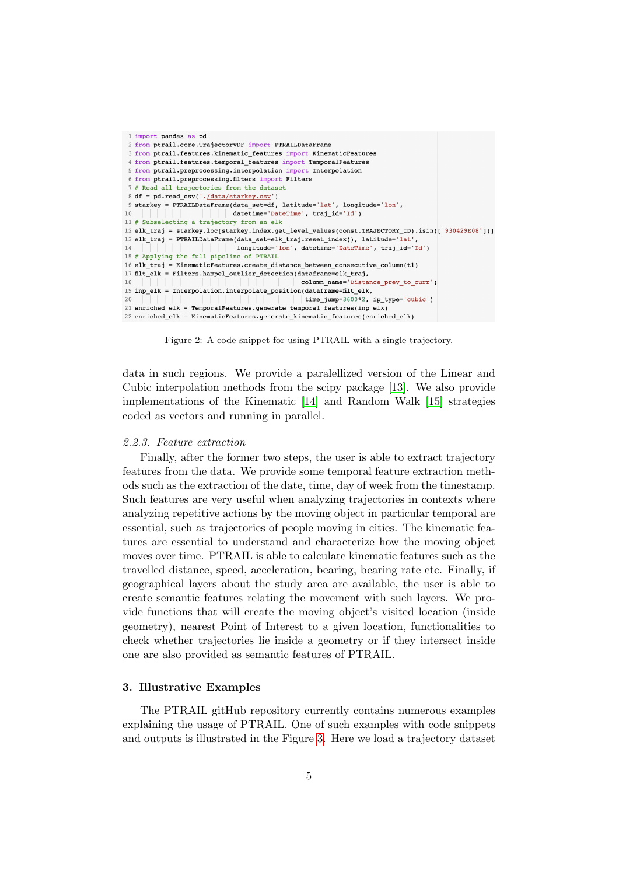```
1 import pandas as pd
2 from ptrail.core.TrajectoryDF import PTRAILDataFrame
3 from ptrail.features.kinematic_features import KinematicFeatures
 4 from ptrail.features.temporal features import TemporalFeatures
 5 from ptrail.preprocessing.interpolation import Interpolation
 6 from ptrail.preprocessing.filters import Filters
 7 # Read all trajectories from the dataset
 8 df = pd.read csv('./data/starkey.csv')
 9 starkey = PTRAILDataFrame(data set=df, latitude='lat', longitude='lon',
10datetime='DateTime', traj id='Id')
11 # Subselecting a trajectory from an elk
12 elk_traj = starkey.loc[starkey.index.get_level_values(const.TRAJECTORY_ID).isin(['930429E08'])]
13 elk_traj = PTRAILDataFrame(data_set=elk_traj.reset_index(), latitude='lat'
14
                             | longitude='lon', datetime='DateTime', traj id='Id')
15 # Applying the full pipeline of PTRAIL
16 elk_traj = KinematicFeatures.create_distance_between_consecutive_column(t1)
17 filt_elk = Filters.hampel_outlier_detection(dataframe=elk_traj,
                                               column_name='Distance_prev_to_curr')
18
\texttt{19 inp\_elk = Interpolation.interpolate\_position (dataframe=filt\_elk,}20\text{time\_jump=}3600*2, \text{ ip\_type='cubic'}21 enriched elk = TemporalFeatures.generate temporal features(inp elk)
22 enriched_elk = KinematicFeatures.generate_kinematic_features(enriched_elk)
```
Figure 2: A code snippet for using PTRAIL with a single trajectory.

data in such regions. We provide a paralellized version of the Linear and Cubic interpolation methods from the scipy package [\[13\]](#page-8-5). We also provide implementations of the Kinematic [\[14\]](#page-8-6) and Random Walk [\[15\]](#page-8-7) strategies coded as vectors and running in parallel.

#### 2.2.3. Feature extraction

Finally, after the former two steps, the user is able to extract trajectory features from the data. We provide some temporal feature extraction methods such as the extraction of the date, time, day of week from the timestamp. Such features are very useful when analyzing trajectories in contexts where analyzing repetitive actions by the moving object in particular temporal are essential, such as trajectories of people moving in cities. The kinematic features are essential to understand and characterize how the moving object moves over time. PTRAIL is able to calculate kinematic features such as the travelled distance, speed, acceleration, bearing, bearing rate etc. Finally, if geographical layers about the study area are available, the user is able to create semantic features relating the movement with such layers. We provide functions that will create the moving object's visited location (inside geometry), nearest Point of Interest to a given location, functionalities to check whether trajectories lie inside a geometry or if they intersect inside one are also provided as semantic features of PTRAIL.

# 3. Illustrative Examples

The PTRAIL gitHub repository currently contains numerous examples explaining the usage of PTRAIL. One of such examples with code snippets and outputs is illustrated in the Figure [3.](#page-5-0) Here we load a trajectory dataset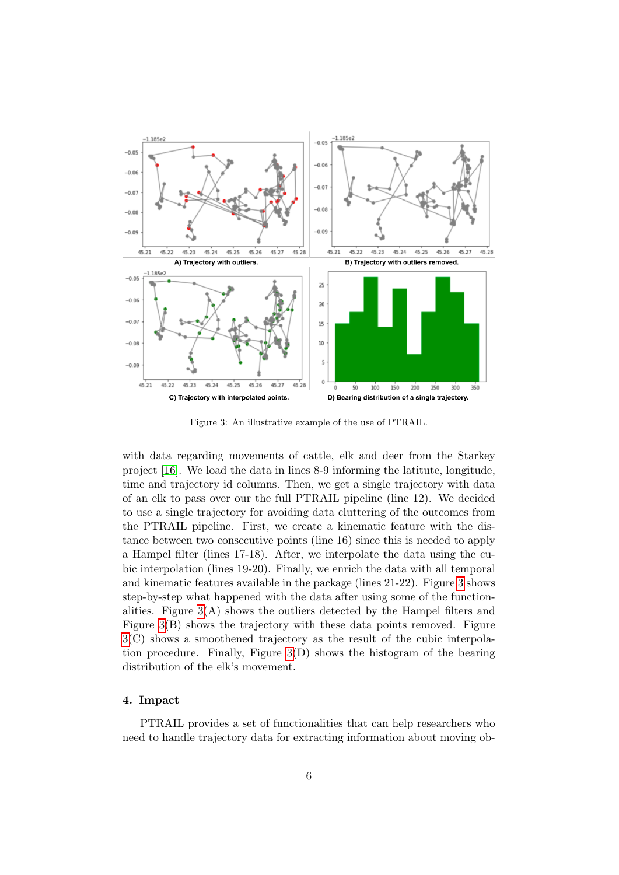

<span id="page-5-0"></span>Figure 3: An illustrative example of the use of PTRAIL.

with data regarding movements of cattle, elk and deer from the Starkey project [\[16\]](#page-8-8). We load the data in lines 8-9 informing the latitute, longitude, time and trajectory id columns. Then, we get a single trajectory with data of an elk to pass over our the full PTRAIL pipeline (line 12). We decided to use a single trajectory for avoiding data cluttering of the outcomes from the PTRAIL pipeline. First, we create a kinematic feature with the distance between two consecutive points (line 16) since this is needed to apply a Hampel filter (lines 17-18). After, we interpolate the data using the cubic interpolation (lines 19-20). Finally, we enrich the data with all temporal and kinematic features available in the package (lines 21-22). Figure [3](#page-5-0) shows step-by-step what happened with the data after using some of the functionalities. Figure  $3(A)$  shows the outliers detected by the Hampel filters and Figure [3\(](#page-5-0)B) shows the trajectory with these data points removed. Figure [3\(](#page-5-0)C) shows a smoothened trajectory as the result of the cubic interpolation procedure. Finally, Figure [3\(](#page-5-0)D) shows the histogram of the bearing distribution of the elk's movement.

# 4. Impact

PTRAIL provides a set of functionalities that can help researchers who need to handle trajectory data for extracting information about moving ob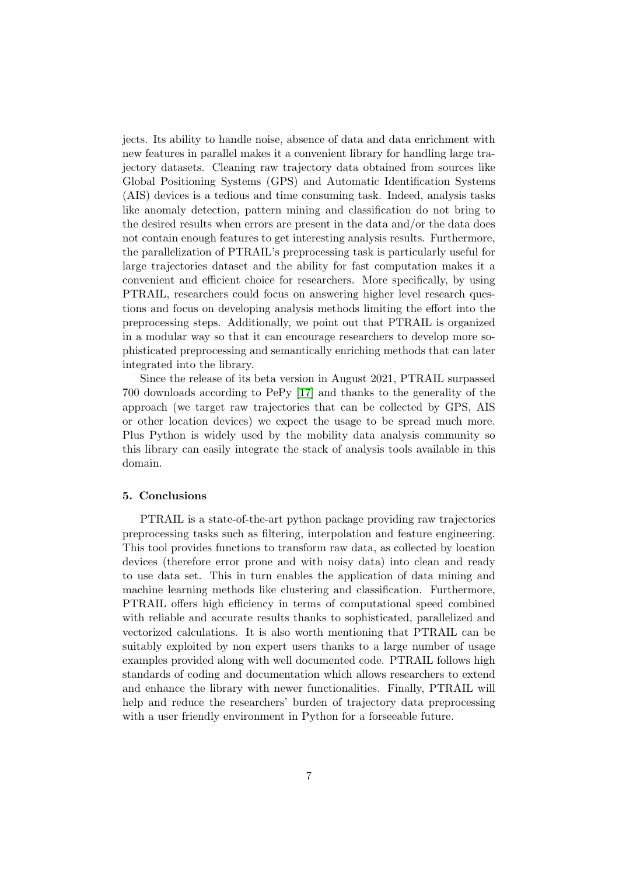jects. Its ability to handle noise, absence of data and data enrichment with new features in parallel makes it a convenient library for handling large trajectory datasets. Cleaning raw trajectory data obtained from sources like Global Positioning Systems (GPS) and Automatic Identification Systems (AIS) devices is a tedious and time consuming task. Indeed, analysis tasks like anomaly detection, pattern mining and classification do not bring to the desired results when errors are present in the data and/or the data does not contain enough features to get interesting analysis results. Furthermore, the parallelization of PTRAIL's preprocessing task is particularly useful for large trajectories dataset and the ability for fast computation makes it a convenient and efficient choice for researchers. More specifically, by using PTRAIL, researchers could focus on answering higher level research questions and focus on developing analysis methods limiting the effort into the preprocessing steps. Additionally, we point out that PTRAIL is organized in a modular way so that it can encourage researchers to develop more sophisticated preprocessing and semantically enriching methods that can later integrated into the library.

Since the release of its beta version in August 2021, PTRAIL surpassed 700 downloads according to PePy [\[17\]](#page-9-0) and thanks to the generality of the approach (we target raw trajectories that can be collected by GPS, AIS or other location devices) we expect the usage to be spread much more. Plus Python is widely used by the mobility data analysis community so this library can easily integrate the stack of analysis tools available in this domain.

# 5. Conclusions

PTRAIL is a state-of-the-art python package providing raw trajectories preprocessing tasks such as filtering, interpolation and feature engineering. This tool provides functions to transform raw data, as collected by location devices (therefore error prone and with noisy data) into clean and ready to use data set. This in turn enables the application of data mining and machine learning methods like clustering and classification. Furthermore, PTRAIL offers high efficiency in terms of computational speed combined with reliable and accurate results thanks to sophisticated, parallelized and vectorized calculations. It is also worth mentioning that PTRAIL can be suitably exploited by non expert users thanks to a large number of usage examples provided along with well documented code. PTRAIL follows high standards of coding and documentation which allows researchers to extend and enhance the library with newer functionalities. Finally, PTRAIL will help and reduce the researchers' burden of trajectory data preprocessing with a user friendly environment in Python for a forseeable future.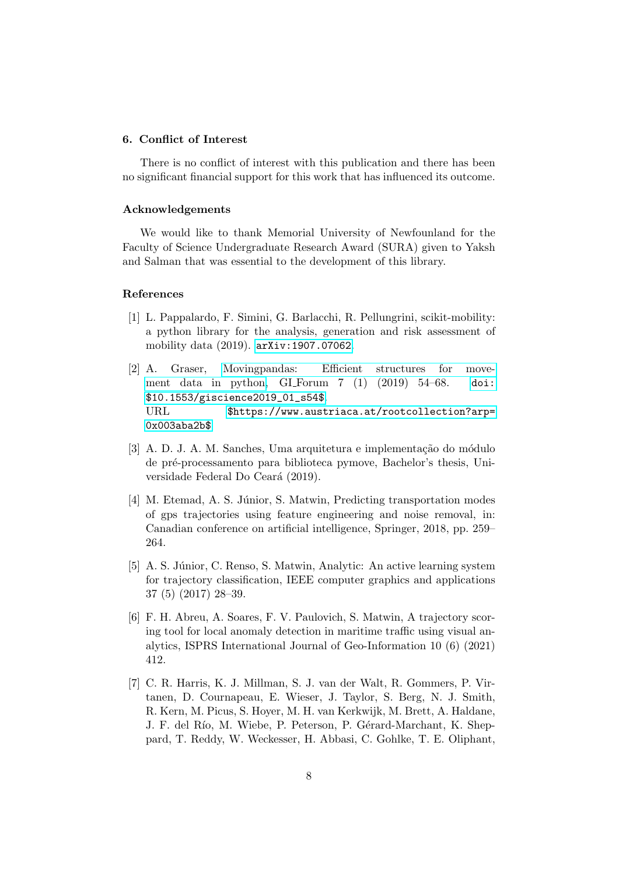### 6. Conflict of Interest

There is no conflict of interest with this publication and there has been no significant financial support for this work that has influenced its outcome.

## Acknowledgements

We would like to thank Memorial University of Newfounland for the Faculty of Science Undergraduate Research Award (SURA) given to Yaksh and Salman that was essential to the development of this library.

## References

- <span id="page-7-0"></span>[1] L. Pappalardo, F. Simini, G. Barlacchi, R. Pellungrini, scikit-mobility: a python library for the analysis, generation and risk assessment of mobility data (2019). [arXiv:1907.07062](http://arxiv.org/abs/1907.07062).
- <span id="page-7-1"></span>[2] A. Graser, [Movingpandas: Efficient structures for move]($https://www.austriaca.at/rootcollection?arp=0x003aba2b$)[ment data in python,]($https://www.austriaca.at/rootcollection?arp=0x003aba2b$) GI Forum 7 (1) (2019) 54–68. [doi:](https://doi.org/$10.1553/giscience2019_01_s54$) [\\$10.1553/giscience2019\\_01\\_s54\\$](https://doi.org/$10.1553/giscience2019_01_s54$). URL [\\$https://www.austriaca.at/rootcollection?arp=]($https://www.austriaca.at/rootcollection?arp=0x003aba2b$) [0x003aba2b\\$]($https://www.austriaca.at/rootcollection?arp=0x003aba2b$)
- <span id="page-7-2"></span>[3] A. D. J. A. M. Sanches, Uma arquitetura e implementação do módulo de pr´e-processamento para biblioteca pymove, Bachelor's thesis, Universidade Federal Do Ceará (2019).
- <span id="page-7-3"></span>[4] M. Etemad, A. S. Júnior, S. Matwin, Predicting transportation modes of gps trajectories using feature engineering and noise removal, in: Canadian conference on artificial intelligence, Springer, 2018, pp. 259– 264.
- <span id="page-7-4"></span>[5] A. S. Júnior, C. Renso, S. Matwin, Analytic: An active learning system for trajectory classification, IEEE computer graphics and applications 37 (5) (2017) 28–39.
- <span id="page-7-5"></span>[6] F. H. Abreu, A. Soares, F. V. Paulovich, S. Matwin, A trajectory scoring tool for local anomaly detection in maritime traffic using visual analytics, ISPRS International Journal of Geo-Information 10 (6) (2021) 412.
- <span id="page-7-6"></span>[7] C. R. Harris, K. J. Millman, S. J. van der Walt, R. Gommers, P. Virtanen, D. Cournapeau, E. Wieser, J. Taylor, S. Berg, N. J. Smith, R. Kern, M. Picus, S. Hoyer, M. H. van Kerkwijk, M. Brett, A. Haldane, J. F. del Río, M. Wiebe, P. Peterson, P. Gérard-Marchant, K. Sheppard, T. Reddy, W. Weckesser, H. Abbasi, C. Gohlke, T. E. Oliphant,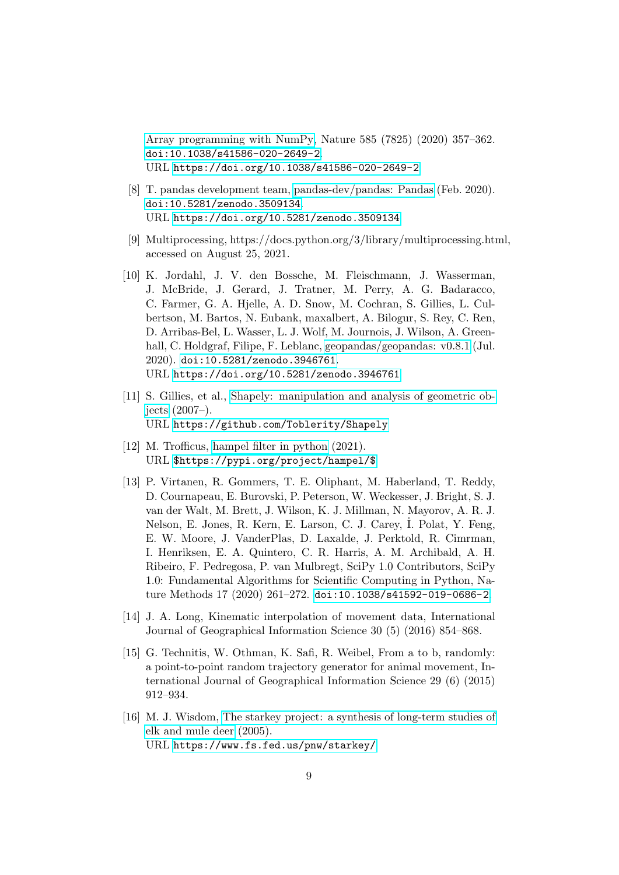[Array programming with NumPy,](https://doi.org/10.1038/s41586-020-2649-2) Nature 585 (7825) (2020) 357–362. [doi:10.1038/s41586-020-2649-2](https://doi.org/10.1038/s41586-020-2649-2). URL <https://doi.org/10.1038/s41586-020-2649-2>

- <span id="page-8-0"></span>[8] T. pandas development team, [pandas-dev/pandas: Pandas](https://doi.org/10.5281/zenodo.3509134) (Feb. 2020). [doi:10.5281/zenodo.3509134](https://doi.org/10.5281/zenodo.3509134). URL <https://doi.org/10.5281/zenodo.3509134>
- <span id="page-8-1"></span>[9] Multiprocessing, https://docs.python.org/3/library/multiprocessing.html, accessed on August 25, 2021.
- <span id="page-8-2"></span>[10] K. Jordahl, J. V. den Bossche, M. Fleischmann, J. Wasserman, J. McBride, J. Gerard, J. Tratner, M. Perry, A. G. Badaracco, C. Farmer, G. A. Hjelle, A. D. Snow, M. Cochran, S. Gillies, L. Culbertson, M. Bartos, N. Eubank, maxalbert, A. Bilogur, S. Rey, C. Ren, D. Arribas-Bel, L. Wasser, L. J. Wolf, M. Journois, J. Wilson, A. Greenhall, C. Holdgraf, Filipe, F. Leblanc, [geopandas/geopandas: v0.8.1](https://doi.org/10.5281/zenodo.3946761) (Jul. 2020). [doi:10.5281/zenodo.3946761](https://doi.org/10.5281/zenodo.3946761). URL <https://doi.org/10.5281/zenodo.3946761>
- <span id="page-8-3"></span>[11] S. Gillies, et al., [Shapely: manipulation and analysis of geometric ob](https://github.com/Toblerity/Shapely)[jects](https://github.com/Toblerity/Shapely) (2007–). URL <https://github.com/Toblerity/Shapely>
- <span id="page-8-4"></span>[12] M. Trofficus, [hampel filter in python]($https://pypi.org/project/hampel/$) (2021). URL [\\$https://pypi.org/project/hampel/\\$]($https://pypi.org/project/hampel/$)
- <span id="page-8-5"></span>[13] P. Virtanen, R. Gommers, T. E. Oliphant, M. Haberland, T. Reddy, D. Cournapeau, E. Burovski, P. Peterson, W. Weckesser, J. Bright, S. J. van der Walt, M. Brett, J. Wilson, K. J. Millman, N. Mayorov, A. R. J. Nelson, E. Jones, R. Kern, E. Larson, C. J. Carey, I. Polat, Y. Feng, E. W. Moore, J. VanderPlas, D. Laxalde, J. Perktold, R. Cimrman, I. Henriksen, E. A. Quintero, C. R. Harris, A. M. Archibald, A. H. Ribeiro, F. Pedregosa, P. van Mulbregt, SciPy 1.0 Contributors, SciPy 1.0: Fundamental Algorithms for Scientific Computing in Python, Nature Methods 17 (2020) 261–272. [doi:10.1038/s41592-019-0686-2](https://doi.org/10.1038/s41592-019-0686-2).
- <span id="page-8-6"></span>[14] J. A. Long, Kinematic interpolation of movement data, International Journal of Geographical Information Science 30 (5) (2016) 854–868.
- <span id="page-8-7"></span>[15] G. Technitis, W. Othman, K. Safi, R. Weibel, From a to b, randomly: a point-to-point random trajectory generator for animal movement, International Journal of Geographical Information Science 29 (6) (2015) 912–934.
- <span id="page-8-8"></span>[16] M. J. Wisdom, [The starkey project: a synthesis of long-term studies of](https://www.fs.fed.us/pnw/starkey/) [elk and mule deer](https://www.fs.fed.us/pnw/starkey/) (2005). URL <https://www.fs.fed.us/pnw/starkey/>